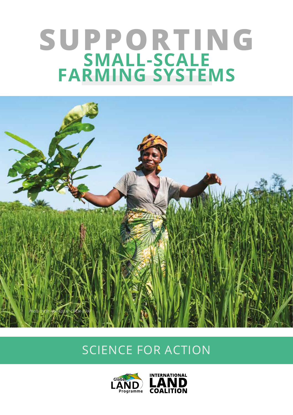# **SUPPORTING SMALL-SCALE FARMING SYSTEMS**



# SCIENCE FOR ACTION



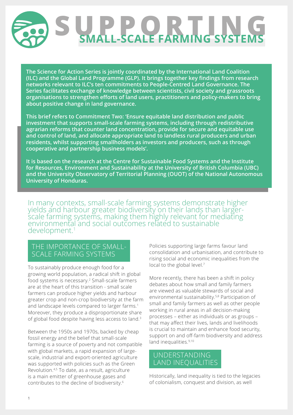

**The Science for Action Series is jointly coordinated by the International Land Coalition (ILC) and the Global Land Programme (GLP). It brings together key findings from research networks relevant to ILC's ten commitments to People-Centred Land Governance. The Series facilitates exchange of knowledge between scientists, civil society and grassroots organisations to strengthen efforts of land users, practitioners and policy-makers to bring about positive change in land governance.**

**This brief refers to Commitment Two: 'Ensure equitable land distribution and public investment that supports small-scale farming systems, including through redistributive agrarian reforms that counter land concentration, provide for secure and equitable use and control of land, and allocate appropriate land to landless rural producers and urban residents, whilst supporting smallholders as investors and producers, such as through cooperative and partnership business models'.**

**It is based on the research at the Centre for Sustainable Food Systems and the Institute for Resources, Environment and Sustainability at the University of British Columbia (UBC) and the University Observatory of Territorial Planning (OUOT) of the National Autonomous University of Honduras.** 

In many contexts, small-scale farming systems demonstrate higher yields and harbour greater biodiversity on their lands than largerscale farming systems, making them highly relevant for mediating environmental and social outcomes related to sustainable development.1

#### THE IMPORTANCE OF SMALL- SCALE FARMING SYSTEMS

To sustainably produce enough food for a growing world population, a radical shift in global food systems is necessary.2 Small-scale farmers are at the heart of this transition - small scale farmers can produce higher yields and harbour greater crop and non-crop biodiversity at the farm and landscape levels compared to larger farms.<sup>1</sup> Moreover, they produce a disproportionate share of global food despite having less access to land.3

Between the 1950s and 1970s, backed by cheap fossil energy and the belief that small-scale farming is a source of poverty and not compatible with global markets, a rapid expansion of largescale, industrial and export-oriented agriculture was supported with policies such as the Green Revolution.4,5 To date, as a result, agriculture is a main emitter of greenhouse gases and contributes to the decline of biodiversity.6

Policies supporting large farms favour land consolidation and urbanisation, and contribute to rising social and economic inequalities from the local to the global level.<sup>7</sup>

More recently, there has been a shift in policy debates about how small and family farmers are viewed as valuable stewards of social and environmental sustainability.5,8 Participation of small and family farmers as well as other people working in rural areas in all decision-making processes – either as individuals or as groups – that may affect their lives, lands and livelihoods is crucial to maintain and enhance food security, support on and off-farm biodiversity and address land inequalities.<sup>9,10</sup>

## UNDERSTANDING LAND INEQUALITIES

Historically, land inequality is tied to the legacies of colonialism, conquest and division, as well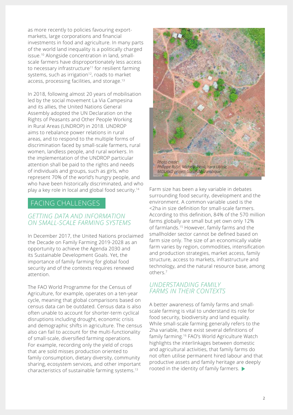as more recently to policies favouring exportmarkets, large corporations and financial investments in food and agriculture. In many parts of the world land inequality is a politically charged issue.10 Alongside concentration in land, smallscale farmers have disproportionately less access to necessary infrastructure<sup>11</sup> for resilient farming systems, such as irrigation<sup>12</sup>, roads to market access, processing facilities, and storage.13

In 2018, following almost 20 years of mobilisation led by the social movement La Via Campesina and its allies, the United Nations General Assembly adopted the UN Declaration on the Rights of Peasants and Other People Working in Rural Areas (UNDROP) in 2018. UNDROP aims to rebalance power relations in rural areas, and to respond to the multiple forms of discrimination faced by small-scale farmers, rural women, landless people, and rural workers. In the implementation of the UNDROP particular attention shall be paid to the rights and needs of individuals and groups, such as girls, who represent 70% of the world's hungry people, and who have been historically discriminated, and who play a key role in local and global food security.14

# FACING CHALLENGES

#### *GETTING DATA AND INFORMATION ON SMALL-SCALE FARMING SYSTEMS*

In December 2017, the United Nations proclaimed the Decade on Family Farming 2019-2028 as an opportunity to achieve the Agenda 2030 and its Sustainable Development Goals. Yet, the importance of family farming for global food security and of the contexts requires renewed attention.

The FAO World Programme for the Census of Agriculture, for example, operates on a ten-year cycle, meaning that global comparisons based on census data can be outdated. Census data is also often unable to account for shorter-term cyclical disruptions including drought, economic crisis and demographic shifts in agriculture. The census also can fail to account for the multi-functionality of small-scale, diversified farming operations. For example, recording only the yield of crops that are sold misses production oriented to family consumption, dietary diversity, community sharing, ecosystem services, and other important characteristics of sustainable farming systems.13



Farm size has been a key variable in debates surrounding food security, development and the environment. A common variable used is the <2ha in size definition for small-scale farmers. According to this definition, 84% of the 570 million farms globally are small but yet own only 12% of farmlands.15 However, family farms and the smallholder sector cannot be defined based on farm size only. The size of an economically viable farm varies by region, commodities, intensification and production strategies, market access, family structure, access to markets, infrastructure and technology, and the natural resource base, among others.7

#### *UNDERSTANDING FAMILY FARMS IN THEIR CONTEXTS*

A better awareness of family farms and smallscale farming is vital to understand its role for food security, biodiversity and land equality. While small-scale farming generally refers to the 2ha variable, there exist several definitions of family farming.16 FAO's World Agriculture Watch highlights the interlinkages between domestic and agricultural activities, that family farms do not often utilise permanent hired labour and that productive assets and family heritage are deeply rooted in the identity of family farmers.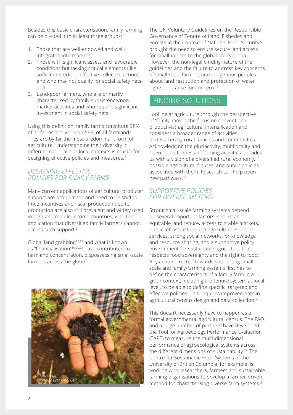Besides this basic characterisation, family farming can be divided into at least three groups:7

- 1. Those that are well-endowed and wellintegrated into markets;
- 2. Those with significant assets and favourable conditions but lacking critical elements (like sufficient credit or effective collective action) and who may not qualify for social safety nets; and
- 3. Land-poor farmers, who are primarily characterised by family subsistence/nonmarket activities and who require significant investment in social safety nets.

Using this definition, family farms constitute 98% of all farms and work on 53% of all farmlands. They are by far the most predominant form of agriculture. Understanding their diversity in different national and local contexts is crucial for designing effective policies and measures.<sup>7</sup>

#### *DESIGNING EFFECTIVE POLICIES FOR FAMILY FARMS*

Many current applications of agricultural producer support are problematic and need to be shifted. Price incentives and fiscal production tied to production are also still prevalent and widely used in high-and middle-income countries, with the implication that diversified family farmers cannot access such support.2

Global land grabbing17,18 and what is known as "financialisation"19,20,21 have contributed to farmland concentration, dispossessing small-scale farmers across the globe.



The UN Voluntary Guidelines on the Responsible Governance of Tenure of Land, Fisheries and Forests in the Context of National Food Security<sup>22</sup> brought the need to ensure secure land access for smallholders to the global policy arena. However, the non-legal binding nature of the guidelines and the failure to address key concerns of small-scale farmers and indigenous peoples about land restitution and protection of water rights are cause for concern.13

# FINDING SOLUTIONS

Looking at agriculture through the perspective of 'family' moves the focus on conventional productivist agricultural intensification and considers a broader range of activities undertaken by rural families and communities. Acknowledging the pluriactivity, multilocality and interconnectedness of farming activities provides us with a vision of a diversified rural economy, possible agricultural futures, and public policies associated with them. Research can help open new pathways.16

#### *SUPPORTIVE POLICIES FOR DIVERSE SYSTEMS*

Strong small-scale farming systems depend on several important factors: secure and equitable land tenure, access to stable markets, public infrastructure and agricultural support services, strong social networks for knowledge and resource sharing, and a supportive policy environment for sustainable agriculture that respects food sovereignty and the right to food.13 Any action directed towards supporting smallscale and family-farming systems first has to define the characteristics of a family farm in a given context, including the tenure system at local level, to be able to define specific, targeted and effective policies. This requires improvements in agricultural census design and data collection.<sup>7,9</sup>

This doesn't necessarily have to happen as a formal governmental agricultural census. The FAO and a large number of partners have developed the Tool for Agroecology Performance Evaluation (TAPE) to measure the multi-dimensional performance of agroecological systems across the different dimensions of sustainability.<sup>23</sup> The Centre for Sustainable Food Systems of the University of British Columbia, for example, is working with researchers, farmers and sustainable farming organisations to develop a farmer-driven method for characterising diverse farm systems.24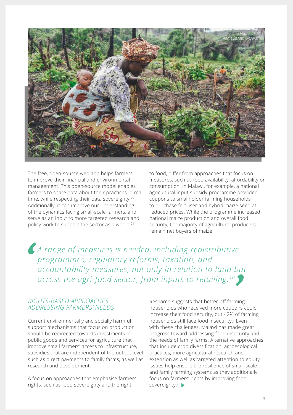

The free, open-source web app helps farmers to improve their financial and environmental management. This open-source model enables farmers to share data about their practices in real time, while respecting their data sovereignty.<sup>25</sup> Additionally, it can improve our understanding of the dynamics facing small-scale farmers, and serve as an input to more targeted research and policy work to support the sector as a whole.24

to food, differ from approaches that focus on measures, such as food availability, affordability or consumption. In Malawi, for example, a national agricultural input subsidy programme provided coupons to smallholder farming households to purchase fertiliser and hybrid maize seed at reduced prices. While the programme increased national maize production and overall food security, the majority of agricultural producers remain net buyers of maize.

*A range of measures is needed, including redistributive programmes, regulatory reforms, taxation, and accountability measures, not only in relation to land but across the agri-food sector, from inputs to retailing.10*

#### *RIGHTS-BASED APPROACHES ADDRESSING FARMERS' NEEDS*

Current environmentally and socially harmful support mechanisms that focus on production should be redirected towards investments in public goods and services for agriculture that improve small farmers' access to infrastructure, subsidies that are independent of the output level such as direct payments to family farms, as well as research and development.

A focus on approaches that emphasise farmers' rights, such as food sovereignty and the right

Research suggests that better-off farming households who received more coupons could increase their food security, but 42% of farming households still face food insecurity.<sup>7</sup> Even with these challenges, Malawi has made great progress toward addressing food insecurity and the needs of family farms. Alternative approaches that include crop diversification, agroecological practices, more agricultural research and extension as well as targeted attention to equity issues help ensure the resilience of small-scale and family farming systems as they additionally focus on farmers' rights by improving food sovereignty.<sup>7</sup>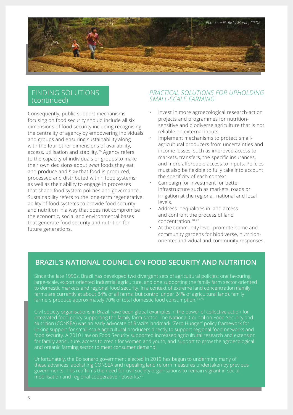

#### FINDING SOLUTIONS (continued)

Consequently, public support mechanisms focusing on food security should include all six dimensions of food security including recognising the centrality of agency by empowering individuals and groups and ensuring sustainability along with the four other dimensions of availability, access, utilisation and stability.<sup>26</sup> Agency refers to the capacity of individuals or groups to make their own decisions about *what* foods they eat and produce and *how* that food is produced, processed and distributed within food systems, as well as their ability to engage in processes that shape food system policies and governance. Sustainability refers to the long-term regenerative ability of food systems to provide food security and nutrition in a way that does not compromise the economic, social and environmental bases that generate food security and nutrition for future generations.

#### *PRACTICAL SOLUTIONS FOR UPHOLDING SMALL-SCALE FARMING*

- Invest in more agroecological research-action projects and programmes for nutritionsensitive and biodiverse agriculture that is not reliable on external inputs.
- Implement mechanisms to protect smallagricultural producers from uncertainties and income losses, such as improved access to markets, transfers, the specific insurances, and more affordable access to inputs. Policies must also be flexible to fully take into account the specificity of each context.
- Campaign for investment for better infrastructure such as markets, roads or irrigation at the regional, national and local levels.
- Address inequalities in land access and confront the process of land concentration.10,27
- At the community level, promote home and community gardens for biodiverse, nutritionoriented individual and community responses.

# **BRAZIL'S NATIONAL COUNCIL ON FOOD SECURITY AND NUTRITION**

Since the late 1990s, Brazil has developed two divergent sets of agricultural policies: one favouring large-scale, export oriented industrial agriculture, and one supporting the family farm sector oriented to domestic markets and regional food security. In a context of extreme land concentration (family farms are currently at about 84% of all farms, but control under 24% of agricultural land), family farmers produce approximately 70% of total domestic food consumption.<sup>13,28</sup>

Civil society organisations in Brazil have been global examples in the power of collective action for integrated food policy supporting the family farm sector. The National Council on Food Security and Nutrition (CONSEA) was an early advocate of Brazil's landmark "Zero Hunger" policy framework for linking support for small-scale agricultural producers directly to support regional food networks and food security. A 2010 Law on Food Security supported increased agricultural research and extension for family agriculture, access to credit for women and youth, and support to grow the agroecological and organic farming sector to meet consumer demand.

Unfortunately, the Bolsonaro government elected in 2019 has begun to undermine many of these advances, abolishing CONSEA and repealing land reform measures undertaken by previous governments. This reaffirms the need for civil society organisations to remain vigilant in social mobilisation and regional cooperative networks.<sup>29</sup>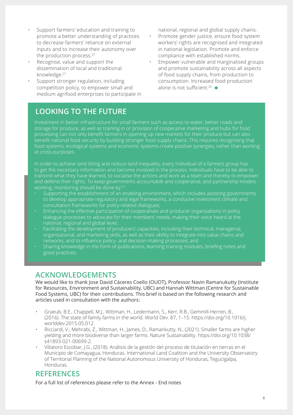- Support farmers' education and training to promote a better understanding of practices to decrease farmers' reliance on external inputs and to increase their autonomy over the production process.<sup>27</sup>
- Recognise, value and support the dissemination of local and traditional knowledge.27
- Support stronger regulation, including competition policy, to empower small and medium agrifood enterprises to participate in

# **LOOKING TO THE FUTURE**

national, regional and global supply chains.

- Promote gender justice, ensure food system workers' rights are recognised and integrated in national legislation. Promote and enforce compliance with established norms.
- Empower vulnerable and marginalised groups and promote sustainability across all aspects of food supply chains, from production to consumption. Increased food production alone is not sufficient.<sup>26</sup>  $\bullet$

Investment in better infrastructure for small farmers such as access to water, better roads and storage for produce, as well as training in or provision of cooperative marketing and hubs for food processing can not only benefit farmers in opening up new markets for their produce but can also benefit national food security by building stronger food supply chains. This requires recognising that food systems, ecological systems and economic systems create positive synergies, rather than working at cross-purposes.

In order to achieve land titling and reduce land inequality, every individual of a farmers group has to get the necessary information and become involved in the process. Individuals have to be able to transmit what they have learned, to socialise the actions and work as a team and thereby to empower and defend their rights. To keep governments accountable and cooperative, and partnership models working, monitoring should be done by:<sup>14</sup>

- Supporting the establishment of an enabling environment, which includes assisting governments to develop appropriate regulatory and legal frameworks, a conducive investment climate and consultation frameworks for policy-related dialogues;
- Enhancing the effective participation of cooperatives and producer organisations in policy dialogue processes to advocate for their members' needs, making their voice heard at the national, regional and global level;
- Facilitating the development of producers' capacities, including their technical, managerial, organisational, and marketing skills, as well as their ability to integrate into value chains and networks, and to influence policy- and decision-making processes; and
- Sharing knowledge in the form of publications, learning training modules, briefing notes and good practices.

#### **ACKNOWLEDGEMENTS**

We would like to thank Jose David Cáceres Coello (OUOT), Professor Navin Ramanukutty (Institute for Resources, Environment and Sustainability, UBC) and Hannah Wittman (Centre for Sustainable Food Systems, UBC) for their contributions. This brief is based on the following research and articles used in consultation with the authors:

- Graeub, B.E., Chappell, M.J., Wittman, H., Ledermann, S., Kerr, R.B., Gemmill-Herren, B., (2016). The state of family farms in the world. World Dev. 87, 1–15. https://[doi.org/10.1016/j.](https://doi.org/10.1016/j.worlddev.2015.05.012) [worlddev.2015.05.012](https://doi.org/10.1016/j.worlddev.2015.05.012).
- Ricciardi, V., Mehrabi, Z., Wittman, H., James, D., Ramankutty, N., (2021). Smaller farms are higher yielding and more biodiverse than larger farms. Nature Sustainability. [https://doi.org/10.1038/](https://doi.org/10.1038/s41893-021-00699-2) [s41893-021-00699-2.](https://doi.org/10.1038/s41893-021-00699-2)
- Villatoro Escobar, J.G., (2018). Análisis de la gestión del proceso de titulación en tierras en el Municipio de Comayagua, Honduras. International Land Coalition and the University Observatory of Territorial Planning of the National Autonomous University of Honduras, Tegucigalpa, Honduras.

## **REFERENCES**

For a full list of references please refer to the Annex - [End notes](https://glp.earth/sites/default/files/reference_annex_for_science_for_action_commitment_2.pdf)